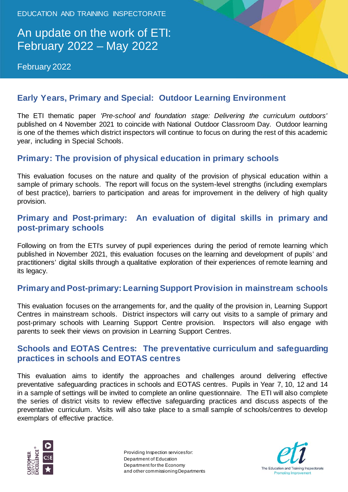EDUCATION AND TRAINING INSPECTORATE

# An update on the work of ETI: February 2022 – May 2022

February 2022



## **Early Years, Primary and Special: Outdoor Learning Environment**

The ETI thematic paper *'Pre-school and foundation stage: Delivering the curriculum outdoors'* published on 4 November 2021 to coincide with National Outdoor Classroom Day. Outdoor learning is one of the themes which district inspectors will continue to focus on during the rest of this academic year, including in Special Schools.

### **Primary: The provision of physical education in primary schools**

This evaluation focuses on the nature and quality of the provision of physical education within a sample of primary schools. The report will focus on the system-level strengths (including exemplars of best practice), barriers to participation and areas for improvement in the delivery of high quality provision.

### **Primary and Post-primary: An evaluation of digital skills in primary and post-primary schools**

Following on from the ETI's survey of pupil experiences during the period of remote learning which published in November 2021, this evaluation focuses on the learning and development of pupils' and practitioners' digital skills through a qualitative exploration of their experiences of remote learning and its legacy.

### **Primary and Post-primary: Learning Support Provision in mainstream schools**

This evaluation focuses on the arrangements for, and the quality of the provision in, Learning Support Centres in mainstream schools. District inspectors will carry out visits to a sample of primary and post-primary schools with Learning Support Centre provision. Inspectors will also engage with parents to seek their views on provision in Learning Support Centres.

#### **Schools and EOTAS Centres: The preventative curriculum and safeguarding practices in schools and EOTAS centres**

This evaluation aims to identify the approaches and challenges around delivering effective preventative safeguarding practices in schools and EOTAS centres. Pupils in Year 7, 10, 12 and 14 in a sample of settings will be invited to complete an online questionnaire. The ETI will also complete the series of district visits to review effective safeguarding practices and discuss aspects of the preventative curriculum. Visits will also take place to a small sample of schools/centres to develop exemplars of effective practice.



Providing Inspection services for: Department of Education Department for the Economy and other commissioning Departments